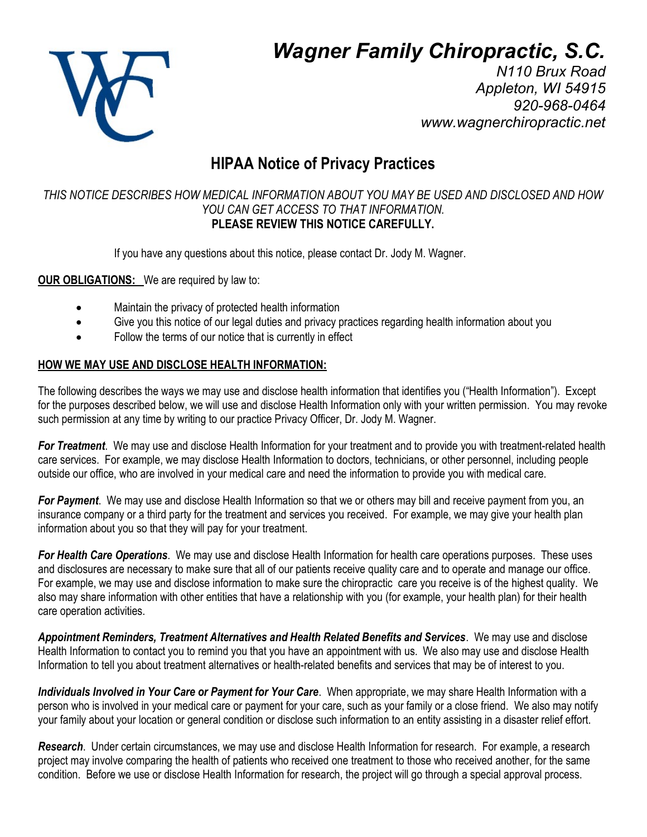

# Wagner Family Chiropractic, S.C.

N110 Brux Road Appleton, WI 54915 920-968-0464 www.wagnerchiropractic.net

# HIPAA Notice of Privacy Practices

## THIS NOTICE DESCRIBES HOW MEDICAL INFORMATION ABOUT YOU MAY BE USED AND DISCLOSED AND HOW YOU CAN GET ACCESS TO THAT INFORMATION. PLEASE REVIEW THIS NOTICE CAREFULLY.

If you have any questions about this notice, please contact Dr. Jody M. Wagner.

**OUR OBLIGATIONS:** We are required by law to:

- Maintain the privacy of protected health information
- Give you this notice of our legal duties and privacy practices regarding health information about you
- Follow the terms of our notice that is currently in effect

## HOW WE MAY USE AND DISCLOSE HEALTH INFORMATION:

The following describes the ways we may use and disclose health information that identifies you ("Health Information"). Except for the purposes described below, we will use and disclose Health Information only with your written permission. You may revoke such permission at any time by writing to our practice Privacy Officer, Dr. Jody M. Wagner.

For Treatment. We may use and disclose Health Information for your treatment and to provide you with treatment-related health care services. For example, we may disclose Health Information to doctors, technicians, or other personnel, including people outside our office, who are involved in your medical care and need the information to provide you with medical care.

For Payment. We may use and disclose Health Information so that we or others may bill and receive payment from you, an insurance company or a third party for the treatment and services you received. For example, we may give your health plan information about you so that they will pay for your treatment.

For Health Care Operations. We may use and disclose Health Information for health care operations purposes. These uses and disclosures are necessary to make sure that all of our patients receive quality care and to operate and manage our office. For example, we may use and disclose information to make sure the chiropractic care you receive is of the highest quality. We also may share information with other entities that have a relationship with you (for example, your health plan) for their health care operation activities.

Appointment Reminders, Treatment Alternatives and Health Related Benefits and Services. We may use and disclose Health Information to contact you to remind you that you have an appointment with us. We also may use and disclose Health Information to tell you about treatment alternatives or health-related benefits and services that may be of interest to you.

Individuals Involved in Your Care or Payment for Your Care. When appropriate, we may share Health Information with a person who is involved in your medical care or payment for your care, such as your family or a close friend. We also may notify your family about your location or general condition or disclose such information to an entity assisting in a disaster relief effort.

Research. Under certain circumstances, we may use and disclose Health Information for research. For example, a research project may involve comparing the health of patients who received one treatment to those who received another, for the same condition. Before we use or disclose Health Information for research, the project will go through a special approval process.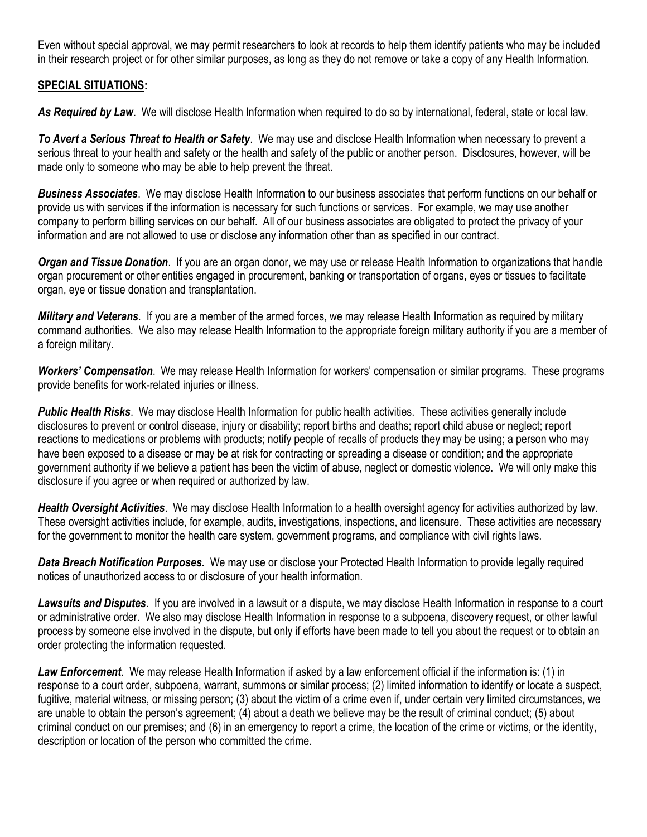Even without special approval, we may permit researchers to look at records to help them identify patients who may be included in their research project or for other similar purposes, as long as they do not remove or take a copy of any Health Information.

#### SPECIAL SITUATIONS:

As Required by Law. We will disclose Health Information when required to do so by international, federal, state or local law.

To Avert a Serious Threat to Health or Safety. We may use and disclose Health Information when necessary to prevent a serious threat to your health and safety or the health and safety of the public or another person. Disclosures, however, will be made only to someone who may be able to help prevent the threat.

**Business Associates**. We may disclose Health Information to our business associates that perform functions on our behalf or provide us with services if the information is necessary for such functions or services. For example, we may use another company to perform billing services on our behalf. All of our business associates are obligated to protect the privacy of your information and are not allowed to use or disclose any information other than as specified in our contract.

Organ and Tissue Donation. If you are an organ donor, we may use or release Health Information to organizations that handle organ procurement or other entities engaged in procurement, banking or transportation of organs, eyes or tissues to facilitate organ, eye or tissue donation and transplantation.

**Military and Veterans**. If you are a member of the armed forces, we may release Health Information as required by military command authorities. We also may release Health Information to the appropriate foreign military authority if you are a member of a foreign military.

Workers' Compensation. We may release Health Information for workers' compensation or similar programs. These programs provide benefits for work-related injuries or illness.

**Public Health Risks**. We may disclose Health Information for public health activities. These activities generally include disclosures to prevent or control disease, injury or disability; report births and deaths; report child abuse or neglect; report reactions to medications or problems with products; notify people of recalls of products they may be using; a person who may have been exposed to a disease or may be at risk for contracting or spreading a disease or condition; and the appropriate government authority if we believe a patient has been the victim of abuse, neglect or domestic violence. We will only make this disclosure if you agree or when required or authorized by law.

Health Oversight Activities. We may disclose Health Information to a health oversight agency for activities authorized by law. These oversight activities include, for example, audits, investigations, inspections, and licensure. These activities are necessary for the government to monitor the health care system, government programs, and compliance with civil rights laws.

Data Breach Notification Purposes. We may use or disclose your Protected Health Information to provide legally required notices of unauthorized access to or disclosure of your health information.

Lawsuits and Disputes. If you are involved in a lawsuit or a dispute, we may disclose Health Information in response to a court or administrative order. We also may disclose Health Information in response to a subpoena, discovery request, or other lawful process by someone else involved in the dispute, but only if efforts have been made to tell you about the request or to obtain an order protecting the information requested.

Law Enforcement. We may release Health Information if asked by a law enforcement official if the information is: (1) in response to a court order, subpoena, warrant, summons or similar process; (2) limited information to identify or locate a suspect, fugitive, material witness, or missing person; (3) about the victim of a crime even if, under certain very limited circumstances, we are unable to obtain the person's agreement; (4) about a death we believe may be the result of criminal conduct; (5) about criminal conduct on our premises; and (6) in an emergency to report a crime, the location of the crime or victims, or the identity, description or location of the person who committed the crime.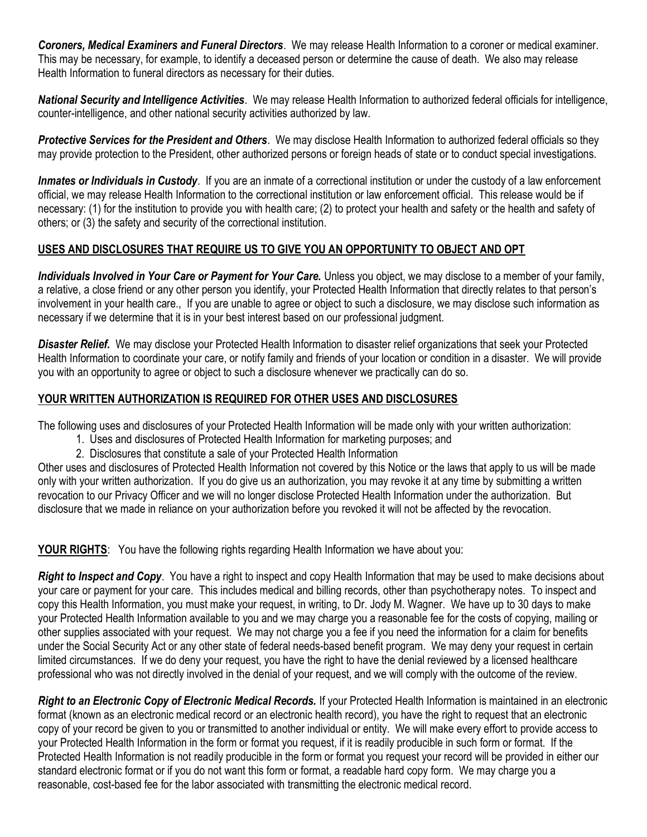Coroners, Medical Examiners and Funeral Directors. We may release Health Information to a coroner or medical examiner. This may be necessary, for example, to identify a deceased person or determine the cause of death. We also may release Health Information to funeral directors as necessary for their duties.

National Security and Intelligence Activities. We may release Health Information to authorized federal officials for intelligence, counter-intelligence, and other national security activities authorized by law.

Protective Services for the President and Others. We may disclose Health Information to authorized federal officials so they may provide protection to the President, other authorized persons or foreign heads of state or to conduct special investigations.

Inmates or Individuals in Custody. If you are an inmate of a correctional institution or under the custody of a law enforcement official, we may release Health Information to the correctional institution or law enforcement official. This release would be if necessary: (1) for the institution to provide you with health care; (2) to protect your health and safety or the health and safety of others; or (3) the safety and security of the correctional institution.

# USES AND DISCLOSURES THAT REQUIRE US TO GIVE YOU AN OPPORTUNITY TO OBJECT AND OPT

Individuals Involved in Your Care or Payment for Your Care. Unless you object, we may disclose to a member of your family, a relative, a close friend or any other person you identify, your Protected Health Information that directly relates to that person's involvement in your health care., If you are unable to agree or object to such a disclosure, we may disclose such information as necessary if we determine that it is in your best interest based on our professional judgment.

Disaster Relief. We may disclose your Protected Health Information to disaster relief organizations that seek your Protected Health Information to coordinate your care, or notify family and friends of your location or condition in a disaster. We will provide you with an opportunity to agree or object to such a disclosure whenever we practically can do so.

# YOUR WRITTEN AUTHORIZATION IS REQUIRED FOR OTHER USES AND DISCLOSURES

The following uses and disclosures of your Protected Health Information will be made only with your written authorization:

- 1. Uses and disclosures of Protected Health Information for marketing purposes; and
- 2. Disclosures that constitute a sale of your Protected Health Information

Other uses and disclosures of Protected Health Information not covered by this Notice or the laws that apply to us will be made only with your written authorization. If you do give us an authorization, you may revoke it at any time by submitting a written revocation to our Privacy Officer and we will no longer disclose Protected Health Information under the authorization. But disclosure that we made in reliance on your authorization before you revoked it will not be affected by the revocation.

YOUR RIGHTS: You have the following rights regarding Health Information we have about you:

Right to Inspect and Copy. You have a right to inspect and copy Health Information that may be used to make decisions about your care or payment for your care. This includes medical and billing records, other than psychotherapy notes. To inspect and copy this Health Information, you must make your request, in writing, to Dr. Jody M. Wagner. We have up to 30 days to make your Protected Health Information available to you and we may charge you a reasonable fee for the costs of copying, mailing or other supplies associated with your request. We may not charge you a fee if you need the information for a claim for benefits under the Social Security Act or any other state of federal needs-based benefit program. We may deny your request in certain limited circumstances. If we do deny your request, you have the right to have the denial reviewed by a licensed healthcare professional who was not directly involved in the denial of your request, and we will comply with the outcome of the review.

Right to an Electronic Copy of Electronic Medical Records. If your Protected Health Information is maintained in an electronic format (known as an electronic medical record or an electronic health record), you have the right to request that an electronic copy of your record be given to you or transmitted to another individual or entity. We will make every effort to provide access to your Protected Health Information in the form or format you request, if it is readily producible in such form or format. If the Protected Health Information is not readily producible in the form or format you request your record will be provided in either our standard electronic format or if you do not want this form or format, a readable hard copy form. We may charge you a reasonable, cost-based fee for the labor associated with transmitting the electronic medical record.